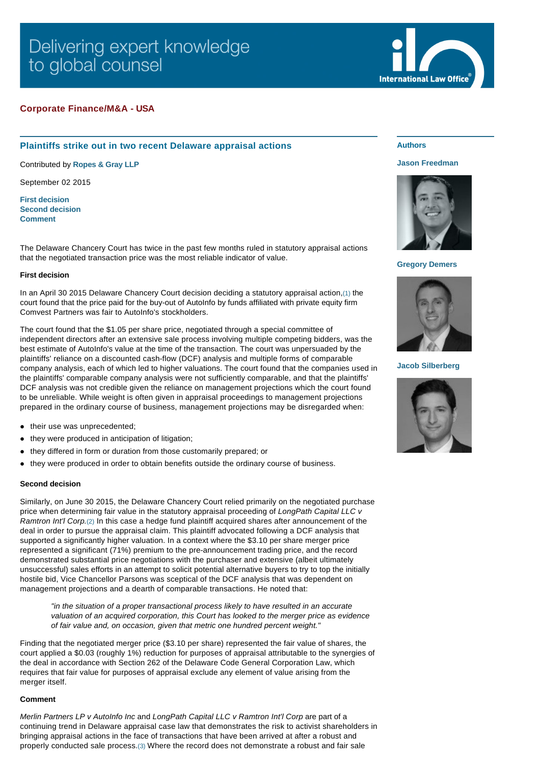# Delivering expert knowledge to global counsel

# **Corporate Finance/M&A - USA**

# **Plaintiffs strike out in two recent Delaware appraisal actions**

Contributed by **[Ropes & Gray LLP](http://www.internationallawoffice.com/gesr.ashx?l=7PDAUWJ)**

September 02 2015

**[First decision](#page-0-0) [Second decision](#page-0-1) [Comment](#page-0-2)**

The Delaware Chancery Court has twice in the past few months ruled in statutory appraisal actions that the negotiated transaction price was the most reliable indicator of value.

## <span id="page-0-0"></span>**First decision**

In an April 30 2015 Delaware Chancery Court decision deciding a statutory appraisal action,[\(1\)](#page-1-0) the court found that the price paid for the buy-out of AutoInfo by funds affiliated with private equity firm Comvest Partners was fair to AutoInfo's stockholders.

The court found that the \$1.05 per share price, negotiated through a special committee of independent directors after an extensive sale process involving multiple competing bidders, was the best estimate of AutoInfo's value at the time of the transaction. The court was unpersuaded by the plaintiffs' reliance on a discounted cash-flow (DCF) analysis and multiple forms of comparable company analysis, each of which led to higher valuations. The court found that the companies used in the plaintiffs' comparable company analysis were not sufficiently comparable, and that the plaintiffs' DCF analysis was not credible given the reliance on management projections which the court found to be unreliable. While weight is often given in appraisal proceedings to management projections prepared in the ordinary course of business, management projections may be disregarded when:

- $\bullet$  their use was unprecedented;
- they were produced in anticipation of litigation;
- they differed in form or duration from those customarily prepared; or
- l they were produced in order to obtain benefits outside the ordinary course of business.

## <span id="page-0-1"></span>**Second decision**

Similarly, on June 30 2015, the Delaware Chancery Court relied primarily on the negotiated purchase price when determining fair value in the statutory appraisal proceeding of *LongPath Capital LLC v Ramtron Int'l Corp.*[\(2\)](#page-1-1) In this case a hedge fund plaintiff acquired shares after announcement of the deal in order to pursue the appraisal claim. This plaintiff advocated following a DCF analysis that supported a significantly higher valuation. In a context where the \$3.10 per share merger price represented a significant (71%) premium to the pre-announcement trading price, and the record demonstrated substantial price negotiations with the purchaser and extensive (albeit ultimately unsuccessful) sales efforts in an attempt to solicit potential alternative buyers to try to top the initially hostile bid, Vice Chancellor Parsons was sceptical of the DCF analysis that was dependent on management projections and a dearth of comparable transactions. He noted that:

*"in the situation of a proper transactional process likely to have resulted in an accurate valuation of an acquired corporation, this Court has looked to the merger price as evidence of fair value and, on occasion, given that metric one hundred percent weight."* 

Finding that the negotiated merger price (\$3.10 per share) represented the fair value of shares, the court applied a \$0.03 (roughly 1%) reduction for purposes of appraisal attributable to the synergies of the deal in accordance with Section 262 of the Delaware Code General Corporation Law, which requires that fair value for purposes of appraisal exclude any element of value arising from the merger itself.

#### <span id="page-0-2"></span>**Comment**

*Merlin Partners LP v AutoInfo Inc* and *LongPath Capital LLC v Ramtron Int'l Corp* are part of a continuing trend in Delaware appraisal case law that demonstrates the risk to activist shareholders in bringing appraisal actions in the face of transactions that have been arrived at after a robust and properly conducted sale process.[\(3\)](#page-1-2) Where the record does not demonstrate a robust and fair sale

# **Authors**

#### **[Jason Freedman](http://www.internationallawoffice.com/gesr.ashx?l=7PDAUWT)**

**International Law Office** 



#### **[Gregory Demers](http://www.internationallawoffice.com/gesr.ashx?l=7PDAUWQ)**



**[Jacob Silberberg](http://www.internationallawoffice.com/gesr.ashx?l=7PDAUWM)**